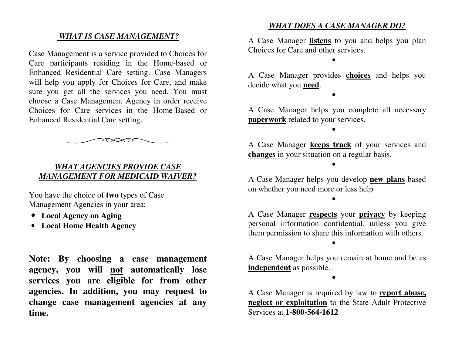## *WHAT IS CASE MANAGEMENT?*

Case Management is a service provided to Choices for Care participants residing in the Home-based or Enhanced Residential Care setting. Case Managers will help you apply for Choices for Care, and make sure you get all the services you need. You must choose a Case Management Agency in order receive Choices for Care services in the Home-Based or Enhanced Residential Care setting.

## *WHAT AGENCIES PROVIDE CASE MANAGEMENT FOR MEDICAID WAIVER?*

You have the choice of **two** types of Case Management Agencies in your area:

- **Local Agency on Aging**
- **Local Home Health Agency**

**Note: By choosing a case management agency, you will not automatically lose services you are eligible for from other agencies. In addition, you may request to change case management agencies at any time.** 

## *WHAT DOES A CASE MANAGER DO?*

A Case Manager **listens** to you and helps you plan Choices for Care and other services.

•

A Case Manager provides **choices** and helps you decide what you **need**.

•

A Case Manager helps you complete all necessary **paperwork** related to your services.

•

A Case Manager **keeps track** of your services and **changes** in your situation on a regular basis.

•

A Case Manager helps you develop **new plans** based on whether you need more or less help

•

A Case Manager **respects** your **privacy** by keeping personal information confidential, unless you give them permission to share this information with others.

A Case Manager helps you remain at home and be as **independent** as possible.

•

•

A Case Manager is required by law to **report abuse, neglect or exploitation** to the State Adult Protective Services at **1-800-564-1612**